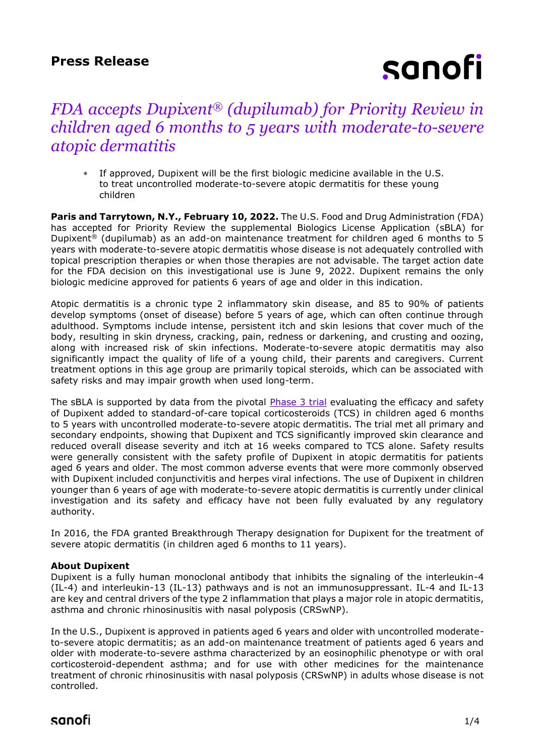# sanofi

# *FDA accepts Dupixent® (dupilumab) for Priority Review in children aged 6 months to 5 years with moderate-to-severe atopic dermatitis*

 If approved, Dupixent will be the first biologic medicine available in the U.S. to treat uncontrolled moderate-to-severe atopic dermatitis for these young children

**Paris and Tarrytown, N.Y., February 10, 2022.** The U.S. Food and Drug Administration (FDA) has accepted for Priority Review the supplemental Biologics License Application (sBLA) for Dupixent® (dupilumab) as an add-on maintenance treatment for children aged 6 months to 5 years with moderate-to-severe atopic dermatitis whose disease is not adequately controlled with topical prescription therapies or when those therapies are not advisable. The target action date for the FDA decision on this investigational use is June 9, 2022. Dupixent remains the only biologic medicine approved for patients 6 years of age and older in this indication.

Atopic dermatitis is a chronic type 2 inflammatory skin disease, and 85 to 90% of patients develop symptoms (onset of disease) before 5 years of age, which can often continue through adulthood. Symptoms include intense, persistent itch and skin lesions that cover much of the body, resulting in skin dryness, cracking, pain, redness or darkening, and crusting and oozing, along with increased risk of skin infections. Moderate-to-severe atopic dermatitis may also significantly impact the quality of life of a young child, their parents and caregivers. Current treatment options in this age group are primarily topical steroids, which can be associated with safety risks and may impair growth when used long-term.

The sBLA is supported by data from the pivotal [Phase 3 trial](https://www.sanofi.com/en/media-room/press-releases/2021/2021-12-13-07-00-00-2350402) evaluating the efficacy and safety of Dupixent added to standard-of-care topical corticosteroids (TCS) in children aged 6 months to 5 years with uncontrolled moderate-to-severe atopic dermatitis. The trial met all primary and secondary endpoints, showing that Dupixent and TCS significantly improved skin clearance and reduced overall disease severity and itch at 16 weeks compared to TCS alone. Safety results were generally consistent with the safety profile of Dupixent in atopic dermatitis for patients aged 6 years and older. The most common adverse events that were more commonly observed with Dupixent included conjunctivitis and herpes viral infections. The use of Dupixent in children younger than 6 years of age with moderate-to-severe atopic dermatitis is currently under clinical investigation and its safety and efficacy have not been fully evaluated by any regulatory authority.

In 2016, the FDA granted Breakthrough Therapy designation for Dupixent for the treatment of severe atopic dermatitis (in children aged 6 months to 11 years).

#### **About Dupixent**

Dupixent is a fully human monoclonal antibody that inhibits the signaling of the interleukin-4 (IL-4) and interleukin-13 (IL-13) pathways and is not an immunosuppressant. IL-4 and IL-13 are key and central drivers of the type 2 inflammation that plays a major role in atopic dermatitis, asthma and chronic rhinosinusitis with nasal polyposis (CRSwNP).

In the U.S., Dupixent is approved in patients aged 6 years and older with uncontrolled moderateto-severe atopic dermatitis; as an add-on maintenance treatment of patients aged 6 years and older with moderate-to-severe asthma characterized by an eosinophilic phenotype or with oral corticosteroid-dependent asthma; and for use with other medicines for the maintenance treatment of chronic rhinosinusitis with nasal polyposis (CRSwNP) in adults whose disease is not controlled.

### sanofi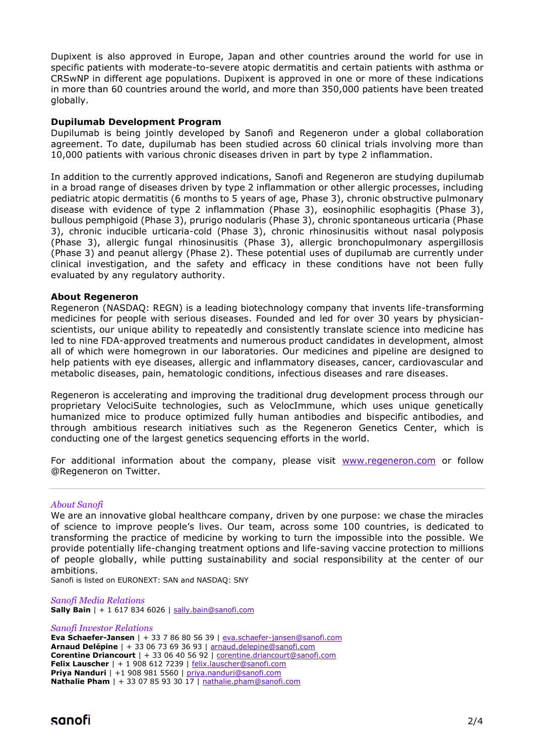Dupixent is also approved in Europe, Japan and other countries around the world for use in specific patients with moderate-to-severe atopic dermatitis and certain patients with asthma or CRSwNP in different age populations. Dupixent is approved in one or more of these indications in more than 60 countries around the world, and more than 350,000 patients have been treated globally.

#### **Dupilumab Development Program**

Dupilumab is being jointly developed by Sanofi and Regeneron under a global collaboration agreement. To date, dupilumab has been studied across 60 clinical trials involving more than 10,000 patients with various chronic diseases driven in part by type 2 inflammation.

In addition to the currently approved indications, Sanofi and Regeneron are studying dupilumab in a broad range of diseases driven by type 2 inflammation or other allergic processes, including pediatric atopic dermatitis (6 months to 5 years of age, Phase 3), chronic obstructive pulmonary disease with evidence of type 2 inflammation (Phase 3), eosinophilic esophagitis (Phase 3), bullous pemphigoid (Phase 3), prurigo nodularis (Phase 3), chronic spontaneous urticaria (Phase 3), chronic inducible urticaria-cold (Phase 3), chronic rhinosinusitis without nasal polyposis (Phase 3), allergic fungal rhinosinusitis (Phase 3), allergic bronchopulmonary aspergillosis (Phase 3) and peanut allergy (Phase 2). These potential uses of dupilumab are currently under clinical investigation, and the safety and efficacy in these conditions have not been fully evaluated by any regulatory authority.

#### **About Regeneron**

Regeneron (NASDAQ: REGN) is a leading biotechnology company that invents life-transforming medicines for people with serious diseases. Founded and led for over 30 years by physicianscientists, our unique ability to repeatedly and consistently translate science into medicine has led to nine FDA-approved treatments and numerous product candidates in development, almost all of which were homegrown in our laboratories. Our medicines and pipeline are designed to help patients with eye diseases, allergic and inflammatory diseases, cancer, cardiovascular and metabolic diseases, pain, hematologic conditions, infectious diseases and rare diseases.

Regeneron is accelerating and improving the traditional drug development process through our proprietary VelociSuite technologies, such as VelocImmune, which uses unique genetically humanized mice to produce optimized fully human antibodies and bispecific antibodies, and through ambitious research initiatives such as the Regeneron Genetics Center, which is conducting one of the largest genetics sequencing efforts in the world.

For additional information about the company, please visit [www.regeneron.com](http://www.regeneron.com/) or follow @Regeneron on Twitter.

#### *About Sanofi*

We are an innovative global healthcare company, driven by one purpose: we chase the miracles of science to improve people's lives. Our team, across some 100 countries, is dedicated to transforming the practice of medicine by working to turn the impossible into the possible. We provide potentially life-changing treatment options and life-saving vaccine protection to millions of people globally, while putting sustainability and social responsibility at the center of our ambitions.

Sanofi is listed on EURONEXT: SAN and NASDAQ: SNY

*Sanofi Media Relations* **Sally Bain** | + 1 617 834 6026 | [sally.bain@sanofi.com](mailto:sally.bain@sanofi.com)

*Sanofi Investor Relations*

**Eva Schaefer-Jansen** | + 33 7 86 80 56 39 | [eva.schaefer-jansen@sanofi.com](mailto:eva.schaefer-jansen@sanofi.com) **Arnaud Delépine** | + 33 06 73 69 36 93 | [arnaud.delepine@sanofi.com](mailto:arnaud.delepine@sanofi.com) **Corentine Driancourt** | + 33 06 40 56 92 | [corentine.driancourt@sanofi.com](mailto:corentine.driancourt@sanofi.com) **Felix Lauscher** | + 1 908 612 7239 | [felix.lauscher@sanofi.com](mailto:felix.lauscher@sanofi.com) **Priya Nanduri** | +1 908 981 5560 | [priya.nanduri@sanofi.com](mailto:priya.nanduri@sanofi.com) **Nathalie Pham** | + 33 07 85 93 30 17 | [nathalie.pham@sanofi.com](mailto:nathalie.pham@sanofi.com)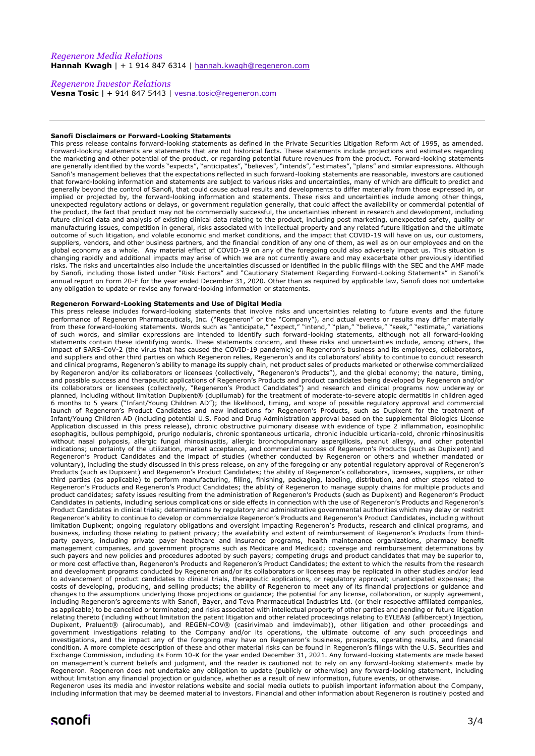#### *Regeneron Media Relations* **Hannah Kwagh** | + 1 914 847 6314 [| hannah.kwagh@regeneron.com](mailto:hannah.kwagh@regeneron.com)

#### *Regeneron Investor Relations*

**Vesna Tosic** | + 914 847 5443 | [vesna.tosic@regeneron.com](mailto:vesna.tosic@regeneron.com)

#### **Sanofi Disclaimers or Forward-Looking Statements**

This press release contains forward-looking statements as defined in the Private Securities Litigation Reform Act of 1995, as amended. Forward-looking statements are statements that are not historical facts. These statements include projections and estimates regarding the marketing and other potential of the product, or regarding potential future revenues from the product. Forward-looking statements are generally identified by the words "expects", "anticipates", "believes", "intends", "estimates", "plans" and similar expressions. Although Sanofi's management believes that the expectations reflected in such forward-looking statements are reasonable, investors are cautioned that forward-looking information and statements are subject to various risks and uncertainties, many of which are difficult to predict and generally beyond the control of Sanofi, that could cause actual results and developments to differ materially from those expressed in, or implied or projected by, the forward-looking information and statements. These risks and uncertainties include among other things, unexpected regulatory actions or delays, or government regulation generally, that could affect the availability or commercial potential of the product, the fact that product may not be commercially successful, the uncertainties inherent in research and development, including future clinical data and analysis of existing clinical data relating to the product, including post marketing, unexpected safety, quality or manufacturing issues, competition in general, risks associated with intellectual property and any related future litigation and the ultimate outcome of such litigation, and volatile economic and market conditions, and the impact that COVID-19 will have on us, our customers, suppliers, vendors, and other business partners, and the financial condition of any one of them, as well as on our employees and on the global economy as a whole. Any material effect of COVID-19 on any of the foregoing could also adversely impact us. This situation is changing rapidly and additional impacts may arise of which we are not currently aware and may exacerbate other previously identified risks. The risks and uncertainties also include the uncertainties discussed or identified in the public filings with the SEC and the AMF made by Sanofi, including those listed under "Risk Factors" and "Cautionary Statement Regarding Forward-Looking Statements" in Sanofi's annual report on Form 20-F for the year ended December 31, 2020. Other than as required by applicable law, Sanofi does not undertake any obligation to update or revise any forward-looking information or statements.

#### **Regeneron Forward-Looking Statements and Use of Digital Media**

This press release includes forward-looking statements that involve risks and uncertainties relating to future events and the future performance of Regeneron Pharmaceuticals, Inc. ("Regeneron" or the "Company"), and actual events or results may differ materially from these forward-looking statements. Words such as "anticipate," "expect," "intend," "plan," "believe," "seek," "estimate," variations of such words, and similar expressions are intended to identify such forward-looking statements, although not all forward-looking statements contain these identifying words. These statements concern, and these risks and uncertainties include, among others, the impact of SARS-CoV-2 (the virus that has caused the COVID-19 pandemic) on Regeneron's business and its employees, collaborators, and suppliers and other third parties on which Regeneron relies, Regeneron's and its collaborators' ability to continue to conduct research and clinical programs, Regeneron's ability to manage its supply chain, net product sales of products marketed or otherwise commercialized by Regeneron and/or its collaborators or licensees (collectively, "Regeneron's Products"), and the global economy; the nature, timing, and possible success and therapeutic applications of Regeneron's Products and product candidates being developed by Regeneron and/or its collaborators or licensees (collectively, "Regeneron's Product Candidates") and research and clinical programs now underway or planned, including without limitation Dupixent® (dupilumab) for the treatment of moderate-to-severe atopic dermatitis in children aged 6 months to 5 years ("Infant/Young Children AD"); the likelihood, timing, and scope of possible regulatory approval and commercial launch of Regeneron's Product Candidates and new indications for Regeneron's Products, such as Dupixent for the treatment of Infant/Young Children AD (including potential U.S. Food and Drug Administration approval based on the supplemental Biologics License Application discussed in this press release), chronic obstructive pulmonary disease with evidence of type 2 inflammation, eosinophilic esophagitis, bullous pemphigoid, prurigo nodularis, chronic spontaneous urticaria, chronic inducible urticaria-cold, chronic rhinosinusitis without nasal polyposis, allergic fungal rhinosinusitis, allergic bronchopulmonary aspergillosis, peanut allergy, and other potential indications; uncertainty of the utilization, market acceptance, and commercial success of Regeneron's Products (such as Dupixent) and Regeneron's Product Candidates and the impact of studies (whether conducted by Regeneron or others and whether mandated or voluntary), including the study discussed in this press release, on any of the foregoing or any potential regulatory approval of Regeneron's Products (such as Dupixent) and Regeneron's Product Candidates; the ability of Regeneron's collaborators, licensees, suppliers, or other third parties (as applicable) to perform manufacturing, filling, finishing, packaging, labeling, distribution, and other steps related to Regeneron's Products and Regeneron's Product Candidates; the ability of Regeneron to manage supply chains for multiple products and product candidates; safety issues resulting from the administration of Regeneron's Products (such as Dupixent) and Regeneron's Product Candidates in patients, including serious complications or side effects in connection with the use of Regeneron's Products and Regeneron's Product Candidates in clinical trials; determinations by regulatory and administrative governmental authorities which may delay or restrict Regeneron's ability to continue to develop or commercialize Regeneron's Products and Regeneron's Product Candidates, including without limitation Dupixent; ongoing regulatory obligations and oversight impacting Regeneron's Products, research and clinical programs, and business, including those relating to patient privacy; the availability and extent of reimbursement of Regeneron's Products from thirdparty payers, including private payer healthcare and insurance programs, health maintenance organizations, pharmacy benefit management companies, and government programs such as Medicare and Medicaid; coverage and reimbursement determinations by such payers and new policies and procedures adopted by such payers; competing drugs and product candidates that may be superior to, or more cost effective than, Regeneron's Products and Regeneron's Product Candidates; the extent to which the results from the research and development programs conducted by Regeneron and/or its collaborators or licensees may be replicated in other studies and/or lead to advancement of product candidates to clinical trials, therapeutic applications, or regulatory approval; unanticipated expenses; the costs of developing, producing, and selling products; the ability of Regeneron to meet any of its financial projections or guidance and changes to the assumptions underlying those projections or guidance; the potential for any license, collaboration, or supply agreement, including Regeneron's agreements with Sanofi, Bayer, and Teva Pharmaceutical Industries Ltd. (or their respective affiliated companies, as applicable) to be cancelled or terminated; and risks associated with intellectual property of other parties and pending or future litigation relating thereto (including without limitation the patent litigation and other related proceedings relating to EYLEA® (aflibercept) Injection, Dupixent, Praluent® (alirocumab), and REGEN-COV® (casirivimab and imdevimab)), other litigation and other proceedings and government investigations relating to the Company and/or its operations, the ultimate outcome of any such proceedings and investigations, and the impact any of the foregoing may have on Regeneron's business, prospects, operating results, and financial condition. A more complete description of these and other material risks can be found in Regeneron's filings with the U.S. Securities and Exchange Commission, including its Form 10-K for the year ended December 31, 2021. Any forward-looking statements are made based on management's current beliefs and judgment, and the reader is cautioned not to rely on any forward-looking statements made by Regeneron. Regeneron does not undertake any obligation to update (publicly or otherwise) any forward-looking statement, including without limitation any financial projection or guidance, whether as a result of new information, future events, or otherwise. Regeneron uses its media and investor relations website and social media outlets to publish important information about the Company,

including information that may be deemed material to investors. Financial and other information about Regeneron is routinely posted and